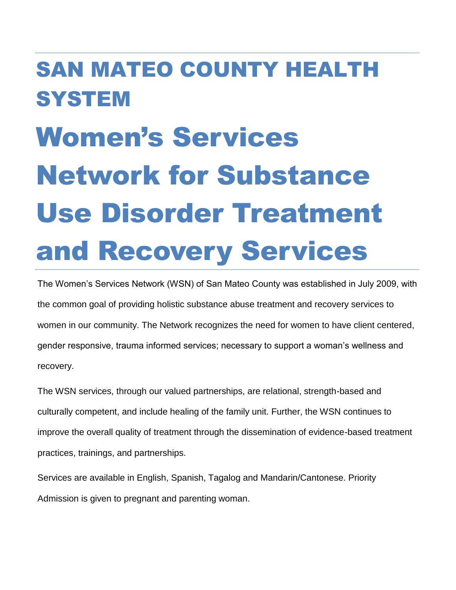# SAN MATEO COUNTY HEALTH **SYSTEM** Women's Services Network for Substance Use Disorder Treatment and Recovery Services

The Women's Services Network (WSN) of San Mateo County was established in July 2009, with the common goal of providing holistic substance abuse treatment and recovery services to women in our community. The Network recognizes the need for women to have client centered, gender responsive, trauma informed services; necessary to support a woman's wellness and recovery.

The WSN services, through our valued partnerships, are relational, strength-based and culturally competent, and include healing of the family unit. Further, the WSN continues to improve the overall quality of treatment through the dissemination of evidence-based treatment practices, trainings, and partnerships.

Services are available in English, Spanish, Tagalog and Mandarin/Cantonese. Priority Admission is given to pregnant and parenting woman.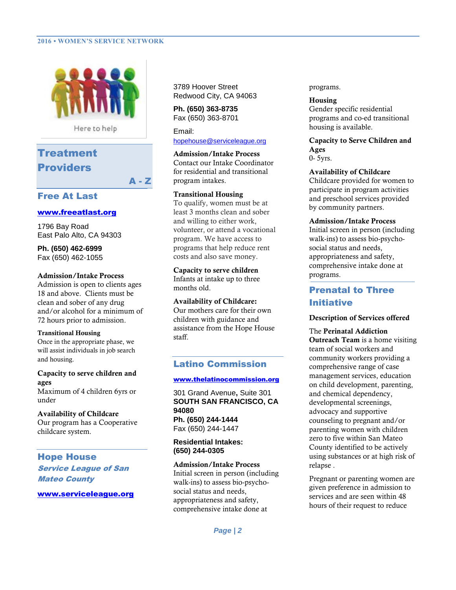## **2016 • WOMEN'S SERVICE NETWORK**



Here to help

A - Z

# Treatment **Providers**

## Free At Last

## [www.freeatlast.org](http://www.freeatlast.org/)

1796 Bay Road East Palo Alto, CA 94303

**Ph. (650) 462-6999** Fax (650) 462-1055

## **Admission/Intake Process**

Admission is open to clients ages 18 and above. Clients must be clean and sober of any drug and/or alcohol for a minimum of 72 hours prior to admission.

## **Transitional Housing**

Once in the appropriate phase, we will assist individuals in job search and housing.

## **Capacity to serve children and ages**

Maximum of 4 children 6yrs or under

**Availability of Childcare**  Our program has a Cooperative childcare system.

Hope House Service League of San Mateo County

[www.serviceleague.org](http://www.serviceleague.org/)

3789 Hoover Street Redwood City, CA 94063

**Ph. (650) 363-8735** Fax (650) 363-8701

Email: [hopehouse@serviceleague.org](mailto:hopehouse@serviceleague.org)

**Admission/Intake Process**  Contact our Intake Coordinator for residential and transitional program intakes.

#### **Transitional Housing**

To qualify, women must be at least 3 months clean and sober and willing to either work, volunteer, or attend a vocational program. We have access to programs that help reduce rent costs and also save money.

**Capacity to serve children** 

Infants at intake up to three months old.

## **Availability of Childcare:**

Our mothers care for their own children with guidance and assistance from the Hope House staff.

## Latino Commission

#### [www.thelatinocommission.org](http://www.thelatinocommission.org/)

301 Grand Avenue**,** Suite 301 **SOUTH SAN FRANCISCO, CA 94080 Ph. (650) 244-1444** Fax (650) 244-1447

## **Residential Intakes: (650) 244-0305**

# **Admission/Intake Process**

Initial screen in person (including walk-ins) to assess bio-psychosocial status and needs, appropriateness and safety, comprehensive intake done at

**Housing**  Gender specific residential programs and co-ed transitional housing is available.

# **Capacity to Serve Children and Ages**

0- 5yrs.

## **Availability of Childcare**

Childcare provided for women to participate in program activities and preschool services provided by community partners.

## **Admission/Intake Process**

Initial screen in person (including walk-ins) to assess bio-psychosocial status and needs, appropriateness and safety, comprehensive intake done at programs.

# Prenatal to Three Initiative

## **Description of Services offered**

## The **Perinatal Addiction**

**Outreach Team** is a home visiting team of social workers and community workers providing a comprehensive range of case management services, education on child development, parenting, and chemical dependency, developmental screenings, advocacy and supportive counseling to pregnant and/or parenting women with children zero to five within San Mateo County identified to be actively using substances or at high risk of relapse .

Pregnant or parenting women are given preference in admission to services and are seen within 48 hours of their request to reduce